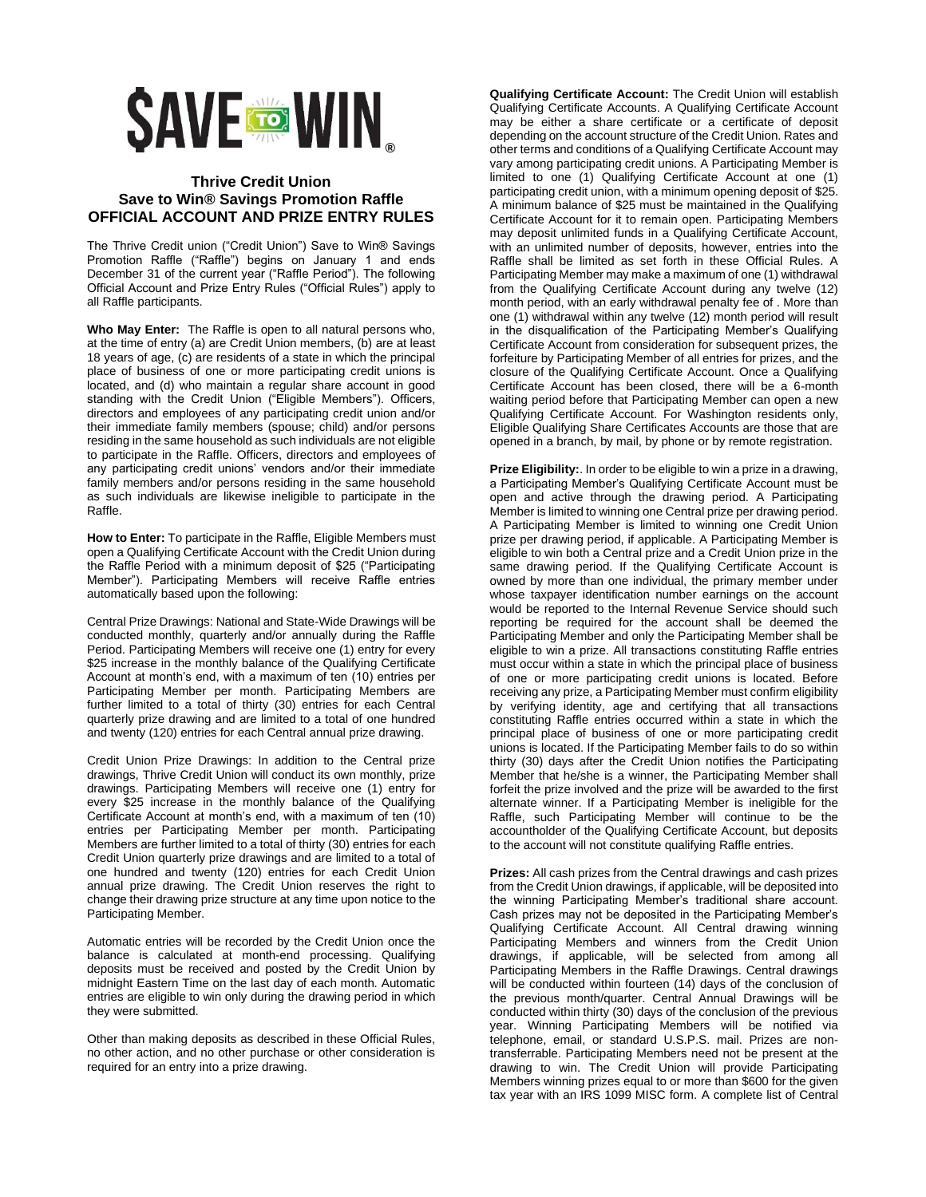

## **Thrive Credit Union Save to Win® Savings Promotion Raffle OFFICIAL ACCOUNT AND PRIZE ENTRY RULES**

The Thrive Credit union ("Credit Union") Save to Win® Savings Promotion Raffle ("Raffle") begins on January 1 and ends December 31 of the current year ("Raffle Period"). The following Official Account and Prize Entry Rules ("Official Rules") apply to all Raffle participants.

**Who May Enter:** The Raffle is open to all natural persons who, at the time of entry (a) are Credit Union members, (b) are at least 18 years of age, (c) are residents of a state in which the principal place of business of one or more participating credit unions is located, and (d) who maintain a regular share account in good standing with the Credit Union ("Eligible Members"). Officers, directors and employees of any participating credit union and/or their immediate family members (spouse; child) and/or persons residing in the same household as such individuals are not eligible to participate in the Raffle. Officers, directors and employees of any participating credit unions' vendors and/or their immediate family members and/or persons residing in the same household as such individuals are likewise ineligible to participate in the Raffle.

**How to Enter:** To participate in the Raffle, Eligible Members must open a Qualifying Certificate Account with the Credit Union during the Raffle Period with a minimum deposit of \$25 ("Participating Member"). Participating Members will receive Raffle entries automatically based upon the following:

Central Prize Drawings: National and State-Wide Drawings will be conducted monthly, quarterly and/or annually during the Raffle Period. Participating Members will receive one (1) entry for every \$25 increase in the monthly balance of the Qualifying Certificate Account at month's end, with a maximum of ten (10) entries per Participating Member per month. Participating Members are further limited to a total of thirty (30) entries for each Central quarterly prize drawing and are limited to a total of one hundred and twenty (120) entries for each Central annual prize drawing.

Credit Union Prize Drawings: In addition to the Central prize drawings, Thrive Credit Union will conduct its own monthly, prize drawings. Participating Members will receive one (1) entry for every \$25 increase in the monthly balance of the Qualifying Certificate Account at month's end, with a maximum of ten (10) entries per Participating Member per month. Participating Members are further limited to a total of thirty (30) entries for each Credit Union quarterly prize drawings and are limited to a total of one hundred and twenty (120) entries for each Credit Union annual prize drawing. The Credit Union reserves the right to change their drawing prize structure at any time upon notice to the Participating Member.

Automatic entries will be recorded by the Credit Union once the balance is calculated at month-end processing. Qualifying deposits must be received and posted by the Credit Union by midnight Eastern Time on the last day of each month. Automatic entries are eligible to win only during the drawing period in which they were submitted.

Other than making deposits as described in these Official Rules, no other action, and no other purchase or other consideration is required for an entry into a prize drawing.

**Qualifying Certificate Account:** The Credit Union will establish Qualifying Certificate Accounts. A Qualifying Certificate Account may be either a share certificate or a certificate of deposit depending on the account structure of the Credit Union. Rates and other terms and conditions of a Qualifying Certificate Account may vary among participating credit unions. A Participating Member is limited to one (1) Qualifying Certificate Account at one (1) participating credit union, with a minimum opening deposit of \$25. A minimum balance of \$25 must be maintained in the Qualifying Certificate Account for it to remain open. Participating Members may deposit unlimited funds in a Qualifying Certificate Account, with an unlimited number of deposits, however, entries into the Raffle shall be limited as set forth in these Official Rules. A Participating Member may make a maximum of one (1) withdrawal from the Qualifying Certificate Account during any twelve (12) month period, with an early withdrawal penalty fee of . More than one (1) withdrawal within any twelve (12) month period will result in the disqualification of the Participating Member's Qualifying Certificate Account from consideration for subsequent prizes, the forfeiture by Participating Member of all entries for prizes, and the closure of the Qualifying Certificate Account. Once a Qualifying Certificate Account has been closed, there will be a 6-month waiting period before that Participating Member can open a new Qualifying Certificate Account. For Washington residents only, Eligible Qualifying Share Certificates Accounts are those that are opened in a branch, by mail, by phone or by remote registration.

**Prize Eligibility:**. In order to be eligible to win a prize in a drawing, a Participating Member's Qualifying Certificate Account must be open and active through the drawing period. A Participating Member is limited to winning one Central prize per drawing period. A Participating Member is limited to winning one Credit Union prize per drawing period, if applicable. A Participating Member is eligible to win both a Central prize and a Credit Union prize in the same drawing period. If the Qualifying Certificate Account is owned by more than one individual, the primary member under whose taxpayer identification number earnings on the account would be reported to the Internal Revenue Service should such reporting be required for the account shall be deemed the Participating Member and only the Participating Member shall be eligible to win a prize. All transactions constituting Raffle entries must occur within a state in which the principal place of business of one or more participating credit unions is located. Before receiving any prize, a Participating Member must confirm eligibility by verifying identity, age and certifying that all transactions constituting Raffle entries occurred within a state in which the principal place of business of one or more participating credit unions is located. If the Participating Member fails to do so within thirty (30) days after the Credit Union notifies the Participating Member that he/she is a winner, the Participating Member shall forfeit the prize involved and the prize will be awarded to the first alternate winner. If a Participating Member is ineligible for the Raffle, such Participating Member will continue to be the accountholder of the Qualifying Certificate Account, but deposits to the account will not constitute qualifying Raffle entries.

**Prizes:** All cash prizes from the Central drawings and cash prizes from the Credit Union drawings, if applicable, will be deposited into the winning Participating Member's traditional share account. Cash prizes may not be deposited in the Participating Member's Qualifying Certificate Account. All Central drawing winning Participating Members and winners from the Credit Union drawings, if applicable, will be selected from among all Participating Members in the Raffle Drawings. Central drawings will be conducted within fourteen (14) days of the conclusion of the previous month/quarter. Central Annual Drawings will be conducted within thirty (30) days of the conclusion of the previous year. Winning Participating Members will be notified via telephone, email, or standard U.S.P.S. mail. Prizes are nontransferrable. Participating Members need not be present at the drawing to win. The Credit Union will provide Participating Members winning prizes equal to or more than \$600 for the given tax year with an IRS 1099 MISC form. A complete list of Central